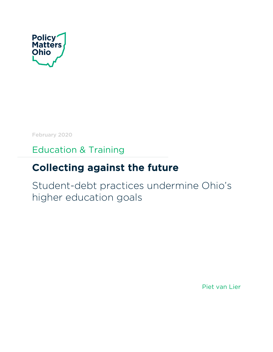

February 2020

I

Education & Training

# Collecting against the future

Student-debt practices undermine Ohio's higher education goals

Piet van Lier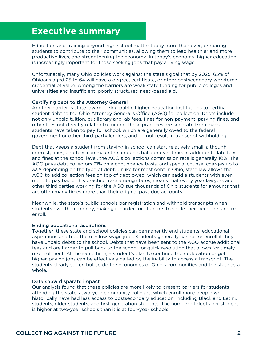### **Executive summary**

Education and training beyond high school matter today more than ever, preparing students to contribute to their communities, allowing them to lead healthier and more productive lives, and strengthening the economy. In today's economy, higher education is increasingly important for those seeking jobs that pay a living wage.

Unfortunately, many Ohio policies work against the state's goal that by 2025, 65% of Ohioans aged 25 to 64 will have a degree, certificate, or other postsecondary workforce credential of value. Among the barriers are weak state funding for public colleges and universities and insufficient, poorly structured need-based aid.

#### Certifying debt to the Attorney General

Another barrier is state law requiring public higher-education institutions to certify student debt to the Ohio Attorney General's Office (AGO) for collection. Debts include not only unpaid tuition, but library and lab fees, fines for non-payment, parking fines, and other fees not directly related to tuition. These practices are separate from loans students have taken to pay for school, which are generally owed to the federal government or other third-party lenders, and do not result in transcript withholding.

Debt that keeps a student from staying in school can start relatively small, although interest, fines, and fees can make the amounts balloon over time. In addition to late fees and fines at the school level, the AGO's collections commission rate is generally 10%. The AGO pays debt collectors 21% on a contingency basis, and special counsel charges up to 33% depending on the type of debt. Unlike for most debt in Ohio, state law allows the AGO to add collection fees on top of debt owed, which can saddle students with even more to pay back. This practice, rare among states, means that every year lawyers and other third parties working for the AGO sue thousands of Ohio students for amounts that are often many times more than their original past-due accounts.

Meanwhile, the state's public schools bar registration and withhold transcripts when students owe them money, making it harder for students to settle their accounts and reenroll.

#### Ending educational aspirations

Together, these state and school policies can permanently end students' educational aspirations and trap them in low-wage jobs. Students generally cannot re-enroll if they have unpaid debts to the school. Debts that have been sent to the AGO accrue additional fees and are harder to pull back to the school for quick resolution that allows for timely re-enrollment. At the same time, a student's plan to continue their education or get higher-paying jobs can be effectively halted by the inability to access a transcript. The students clearly suffer, but so do the economies of Ohio's communities and the state as a whole.

#### Data show disparate impact

Our analysis found that these policies are more likely to present barriers for students attending the state's two-year community colleges, which enroll more people who historically have had less access to postsecondary education, including Black and Latinx students, older students, and first-generation students. The number of debts per student is higher at two-year schools than it is at four-year schools.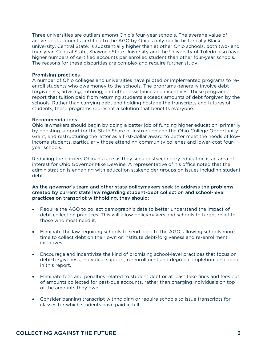Three universities are outliers among Ohio's four-year schools. The average value of active debt accounts certified to the AGO by Ohio's only public historically Black university, Central State, is substantially higher than at other Ohio schools, both two- and four-year. Central State, Shawnee State University and the University of Toledo also have higher numbers of certified accounts per enrolled student than other four-year schools. The reasons for these disparities are complex and require further study.

#### Promising practices

A number of Ohio colleges and universities have piloted or implemented programs to reenroll students who owe money to the schools. The programs generally involve debt forgiveness, advising, tutoring, and other assistance and incentives. These programs report that tuition paid from returning students exceeds amounts of debt forgiven by the schools. Rather than carrying debt and holding hostage the transcripts and futures of students, these programs represent a solution that benefits everyone.

#### Recommendations

Ohio lawmakers should begin by doing a better job of funding higher education, primarily by boosting support for the State Share of Instruction and the Ohio College Opportunity Grant, and restructuring the latter as a first-dollar award to better meet the needs of lowincome students, particularly those attending community colleges and lower-cost fouryear schools.

Reducing the barriers Ohioans face as they seek postsecondary education is an area of interest for Ohio Governor Mike DeWine. A representative of his office noted that the administration is engaging with education stakeholder groups on issues including student debt.

#### As the governor's team and other state policymakers seek to address the problems created by current state law regarding student-debt collection and school-level practices on transcript withholding, they should:

- Require the AGO to collect demographic data to better understand the impact of debt-collection practices. This will allow policymakers and schools to target relief to those who most need it.
- Eliminate the law requiring schools to send debt to the AGO, allowing schools more time to collect debt on their own or institute debt-forgiveness and re-enrollment initiatives.
- Encourage and incentivize the kind of promising school-level practices that focus on debt-forgiveness, individual support, re-enrollment and degree completion described in this report.
- Eliminate fees and penalties related to student debt or at least take fines and fees out of amounts collected for past-due accounts, rather than charging individuals on top of the amounts they owe.
- Consider banning transcript withholding or require schools to issue transcripts for classes for which students have paid in full.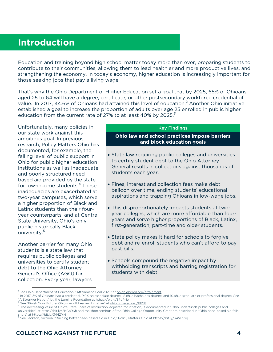### **Title of Section Introduction**

Education and training beyond high school matter today more than ever, preparing students to contribute to their communities, allowing them to lead healthier and more productive lives, and strengthening the economy. In today's economy, higher education is increasingly important for those seeking jobs that pay a living wage.

That's why the Ohio Department of Higher Education set a goal that by 2025, 65% of Ohioans aged 25 to 64 will have a degree, certificate, or other postsecondary workforce credential of value.<sup>1</sup> In 2017, 44.6% of Ohioans had attained this level of education.<sup>2</sup> Another Ohio initiative established a goal to increase the proportion of adults over age 25 enrolled in public higher education from the current rate of 27% to at least 40% by 2025. $^3$ 

Unfortunately, many policies in our state work against this ambitious goal. In previous research, Policy Matters Ohio has documented, for example, the falling level of public support in Ohio for public higher education institutions as well as inadequate and poorly structured needbased aid provided by the state for low-income students. <sup>4</sup> These inadequacies are exacerbated at two-year campuses, which serve a higher proportion of Black and Latinx students than their fouryear counterparts, and at Central State University, Ohio's only public historically Black university. 5

Another barrier for many Ohio students is a state law that requires public colleges and universities to certify student debt to the Ohio Attorney General's Office (AGO) for collection. Every year, lawyers

#### Key Findings

**Ohio law and school practices impose barriers and block education goals**

- State law requiring public colleges and universities to certify student debt to the Ohio Attorney General results in collections against thousands of students each year.
- Fines, interest and collection fees make debt balloon over time, ending students' educational aspirations and trapping Ohioans in low-wage jobs.
- This disproportionately impacts students at twoyear colleges, which are more affordable than fouryears and serve higher proportions of Black, Latinx, first-generation, part-time and older students.
- State policy makes it hard for schools to forgive debt and re-enroll students who can't afford to pay past bills.
- Schools compound the negative impact by withholding transcripts and barring registration for students with debt.

<sup>&</sup>lt;sup>1</sup> See Ohio Department of Education, "Attainment Goal 2025" at **ohiohighered.org/attainment** 

<sup>2</sup> DC 0.0112 Deptember 2012 Deptember 2012 of 2012 Deptember 2012 Deptember 2012 Deptember 2017, 5% of Ohioans had a credential, 9.9% an associate degree, 18.8% a bachelor's degree, and 10.9% a graduate or professional degr

s see "Finish Your Future: Ohio's Adult Learner Initiative" at <u>ohiohighered.org/FFYF</u><br><sup>4</sup> The decreasing value of Ohio's State Share of Instruction, adjusted for inflation, is documented in "Ohio underfunds public college universities" at https://bit.ly/2KGo9Kh and the shortcomings of the Ohio College Opportunity Grant are described in "Ohio need-based aid falls short" at https://bit.ly/344ZYNI.

See Jackson, Victoria, "Building better need-based aid in Ohio," Policy Matters Ohio at https://bit.ly/34VLSxq.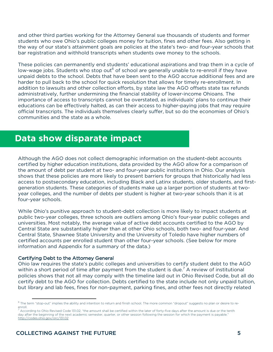and other third parties working for the Attorney General sue thousands of students and former students who owe Ohio's public colleges money for tuition, fines and other fees. Also getting in the way of our state's attainment goals are policies at the state's two- and four-year schools that bar registration and withhold transcripts when students owe money to the schools.

These policies can permanently end students' educational aspirations and trap them in a cycle of low-wage jobs. Students who stop out $<sup>6</sup>$  of school are generally unable to re-enroll if they have</sup> unpaid debts to the school. Debts that have been sent to the AGO accrue additional fees and are harder to pull back to the school for quick resolution that allows for timely re-enrollment. In addition to lawsuits and other collection efforts, by state law the AGO offsets state tax refunds administratively, further undermining the financial stability of lower-income Ohioans. The importance of access to transcripts cannot be overstated, as individuals' plans to continue their educations can be effectively halted, as can their access to higher-paying jobs that may require official transcripts. The individuals themselves clearly suffer, but so do the economies of Ohio's communities and the state as a whole.

# **Data show disparate impact**

Although the AGO does not collect demographic information on the student-debt accounts certified by higher education institutions, data provided by the AGO allow for a comparison of the amount of debt per student at two- and four-year public institutions in Ohio. Our analysis shows that these policies are more likely to present barriers for groups that historically had less access to postsecondary education, including Black and Latinx students, older students, and firstgeneration students. These categories of students make up a larger portion of students at twoyear colleges, and the number of debts per student is higher at two-year schools than it is at four-year schools.

While Ohio's punitive approach to student-debt collection is more likely to impact students at public two-year colleges, three schools are outliers among Ohio's four-year public colleges and universities. Most notably, the average value of active debt accounts certified to the AGO by Central State are substantially higher than at other Ohio schools, both two- and four-year. And Central State, Shawnee State University and the University of Toledo have higher numbers of certified accounts per enrolled student than other four-year schools. (See below for more information and Appendix for a summary of the data.)

#### Certifying Debt to the Attorney General

Ohio law requires the state's public colleges and universities to certify student debt to the AGO within a short period of time after payment from the student is due.<sup>7</sup> A review of institutional policies shows that not all may comply with the timeline laid out in Ohio Revised Code, but all do certify debt to the AGO for collection. Debts certified to the state include not only unpaid tuition, but library and lab fees, fines for non-payment, parking fines, and other fees not directly related

 $6$  The term "stop-out" implies the ability and intention to return and finish school. The more common "dropout" suggests no plan or desire to reenroll.

<sup>7</sup> According to Ohio Revised Code 131.02, "the amount shall be certified within the later of forty-five days after the amount is due or the tenth day after the beginning of the next academic semester, quarter, or other session following the session for which the payment is payable." http://codes.ohio.gov/orc/131.02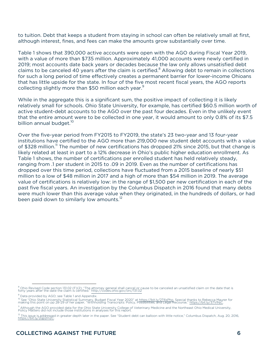to tuition. Debt that keeps a student from staying in school can often be relatively small at first, although interest, fines, and fees can make the amounts grow substantially over time.

Table 1 shows that 390,000 active accounts were open with the AGO during Fiscal Year 2019, with a value of more than \$735 million. Approximately 41,000 accounts were newly certified in 2019; most accounts date back years or decades because the law only allows unsatisfied debt claims to be canceled 40 years after the claim is certified. $8$  Allowing debt to remain in collections for such a long period of time effectively creates a permanent barrier for lower-income Ohioans that has little upside for the state. In four of the five most recent fiscal years, the AGO reports collecting slightly more than \$50 million each year.<sup>9</sup>

While in the aggregate this is a significant sum, the positive impact of collecting it is likely relatively small for schools. Ohio State University, for example, has certified \$60.5 million worth of active student-debt accounts to the AGO over the past four decades. Even in the unlikely event that the entire amount were to be collected in one year, it would amount to only 0.8% of its \$7.5 billion annual budget.<sup>10</sup>

Over the five-year period from FY2015 to FY2019, the state's 23 two-year and 13 four-year institutions have certified to the AGO more than 219,000 new student debt accounts with a value of \$328 million.<sup>11</sup> The number of new certifications has dropped 21% since 2015, but that change is likely related at least in part to a 12% decrease in Ohio's public higher education enrollment. As Table 1 shows, the number of certifications per enrolled student has held relatively steady, ranging from .1 per student in 2015 to .09 in 2019. Even as the number of certifications has dropped over this time period, collections have fluctuated from a 2015 baseline of nearly \$51 million to a low of \$48 million in 2017 and a high of more than \$54 million in 2019. The average value of certifications is relatively low: in the range of \$1,500 per new certification in each of the past five fiscal years. An investigation by the Columbus Dispatch in 2016 found that many debts were much lower than this average value when they originated, in the hundreds of dollars, or had been paid down to similarly low amounts.<sup>12</sup>

<sup>&</sup>lt;sup>8</sup> Ohio Revised Code section 131.02 (F)(2): "The attorney general shall cancel or cause to be canceled an unsatisfied claim on the date that is<br>forty years after the date the claim is certified." http://codes.ohio.gov/orc

<sup>&</sup>lt;sup>9</sup> Data provided by AGO; see Table 1 and Appendix.

<sup>&</sup>lt;sup>10</sup> See "Ohio State University Statistical Summary, Budget Fiscal Year 2020" at <u>https://bit.ly/2T6sPho</u>. Special thanks to Rebecca Maurer for<br>making this point on pp 28-29 of her paper, "Withholding Transcripts: Policy,

<sup>&</sup>lt;sup>11</sup> Although the AGO provided data for the Ohio State University College of Veterinary Medicine and the Northeast Ohio Medical University,<br>Policy Matters did not include those institutions in analyses for this report.

<sup>&</sup>lt;sup>12</sup> This issue is addressed in greater depth later in the paper. See "Student debt can balloon with little notice," Columbus Dispatch, Aug. 20, 2016,<br>https://bit.ly/2qp2m2C.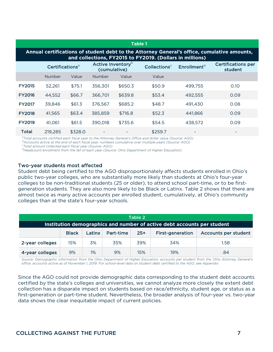| <b>Table 1</b>                                                                                                                                                              |         |         |         |         |         |         |      |  |  |  |
|-----------------------------------------------------------------------------------------------------------------------------------------------------------------------------|---------|---------|---------|---------|---------|---------|------|--|--|--|
| Annual certifications of student debt to the Attorney General's office, cumulative amounts,<br>and collections, FY2015 to FY2019. (Dollars in millions)                     |         |         |         |         |         |         |      |  |  |  |
| Active Inventory <sup>b</sup><br><b>Certifications per</b><br>Enrollment <sup>d</sup><br>Collections <sup>c</sup><br>Certifications <sup>a</sup><br>(cumulative)<br>student |         |         |         |         |         |         |      |  |  |  |
|                                                                                                                                                                             | Number  | Value   | Number  | Value   | Value   |         |      |  |  |  |
| <b>FY2015</b>                                                                                                                                                               | 52,261  | \$75.1  | 356,301 | \$650.3 | \$50.9  | 499,755 | 0.10 |  |  |  |
| <b>FY2016</b>                                                                                                                                                               | 44,552  | \$66.7  | 366,701 | \$639.8 | \$53.4  | 492,555 | 0.09 |  |  |  |
| <b>FY2017</b>                                                                                                                                                               | 39,846  | \$61.3  | 376,567 | \$685.2 | \$48.7  | 491.430 | 0.08 |  |  |  |
| <b>FY2018</b>                                                                                                                                                               | 41,565  | \$63.4  | 385,859 | \$716.8 | \$52.3  | 441,866 | 0.09 |  |  |  |
| <b>FY2019</b>                                                                                                                                                               | 41,061  | \$61.5  | 390,018 | \$735.6 | \$54.5  | 438,572 | 0.09 |  |  |  |
| <b>Total</b>                                                                                                                                                                | 219,285 | \$328.0 |         |         | \$259.7 |         |      |  |  |  |

*a Total accounts certified each fiscal year to the Attorney General's Office and dollar value (Source: AGO) <sup>b</sup>*

<sup>b</sup>Accounts active at the end of each fiscal year; numbers cumulative over multiple years (Source: AGO)

*c Total amount collected each fiscal year (Source: AGO) <sup>d</sup>*

*Headcount enrollment from the fall of each year (Source: Ohio Department of Higher Education)*

#### Two-year students most affected

Student debt being certified to the AGO disproportionately affects students enrolled in Ohio's public two-year colleges, who are substantially more likely than students at Ohio's four-year colleges to be non-traditional students (25 or older), to attend school part-time, or to be firstgeneration students. They are also more likely to be Black or Latinx. Table 2 shows that there are almost twice as many active accounts per enrolled student, cumulatively, at Ohio's community colleges than at the state's four-year schools.

| Table 2                                                                 |              |        |           |       |                         |                      |  |  |
|-------------------------------------------------------------------------|--------------|--------|-----------|-------|-------------------------|----------------------|--|--|
| Institution demographics and number of active debt accounts per student |              |        |           |       |                         |                      |  |  |
|                                                                         | <b>Black</b> | Latinx | Part-time | $25+$ | <b>First-generation</b> | Accounts per student |  |  |
| 2-year colleges                                                         | 15%          | 3%     | 35%       | 39%   | 34%                     | 1.58                 |  |  |
| 4-year colleges                                                         | 9%           | 1%     | 9%        | 15%   | 19%                     | .84                  |  |  |

*Source: Demographic information from the Ohio Department of Higher Education; accounts per student from the Ohio Attorney General's office, accounts active as of November 1, 2019. For school-level data on student debt certified to the AGO, see Appendix.* 

Since the AGO could not provide demographic data corresponding to the student debt accounts certified by the state's colleges and universities, we cannot analyze more closely the extent debt collection has a disparate impact on students based on race/ethnicity, student age, or status as a first-generation or part-time student. Nevertheless, the broader analysis of four-year vs. two-year data shows the clear inequitable impact of current policies.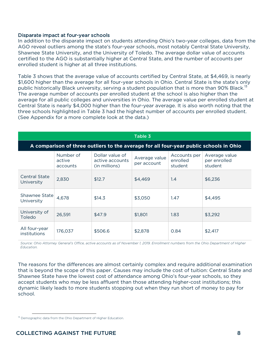#### Disparate impact at four-year schools

In addition to the disparate impact on students attending Ohio's two-year colleges, data from the AGO reveal outliers among the state's four-year schools, most notably Central State University, Shawnee State University, and the University of Toledo. The average dollar value of accounts certified to the AGO is substantially higher at Central State, and the number of accounts per enrolled student is higher at all three institutions.

Table 3 shows that the average value of accounts certified by Central State, at \$4,469, is nearly \$1,600 higher than the average for all four-year schools in Ohio. Central State is the state's only public historically Black university, serving a student population that is more than 90% Black.<sup>13</sup> The average number of accounts per enrolled student at the school is also higher than the average for all public colleges and universities in Ohio. The average value per enrolled student at Central State is nearly \$4,000 higher than the four-year average. It is also worth noting that the three schools highlighted in Table 3 had the highest number of accounts per enrolled student. (See Appendix for a more complete look at the data.)

| Table 3                                                                                |                                 |                                                     |                              |                                     |                                          |  |  |  |  |
|----------------------------------------------------------------------------------------|---------------------------------|-----------------------------------------------------|------------------------------|-------------------------------------|------------------------------------------|--|--|--|--|
| A comparison of three outliers to the average for all four-year public schools in Ohio |                                 |                                                     |                              |                                     |                                          |  |  |  |  |
|                                                                                        | Number of<br>active<br>accounts | Dollar value of<br>active accounts<br>(in millions) | Average value<br>per account | Accounts per<br>enrolled<br>student | Average value<br>per enrolled<br>student |  |  |  |  |
| <b>Central State</b><br>University                                                     | 2,830                           | \$12.7                                              | \$4,469                      | 1.4                                 | \$6,236                                  |  |  |  |  |
| Shawnee State<br>University                                                            | 4,678                           | \$14.3                                              | \$3,050                      | 1.47                                | \$4,495                                  |  |  |  |  |
| University of<br>Toledo                                                                | 26,591                          | \$47.9                                              | \$1,801                      | 1.83                                | \$3,292                                  |  |  |  |  |
| All four-year<br><i>institutions</i>                                                   | 176,037                         | \$506.6                                             | \$2,878                      | 0.84                                | \$2,417                                  |  |  |  |  |

*Source: Ohio Attorney General's Office, active accounts as of November 1, 2019. Enrollment numbers from the Ohio Department of Higher Education.*

The reasons for the differences are almost certainly complex and require additional examination that is beyond the scope of this paper. Causes may include the cost of tuition: Central State and Shawnee State have the lowest cost of attendance among Ohio's four-year schools, so they accept students who may be less affluent than those attending higher-cost institutions; this dynamic likely leads to more students stopping out when they run short of money to pay for school.

<sup>&</sup>lt;sup>13</sup> Demographic data from the Ohio Department of Higher Education.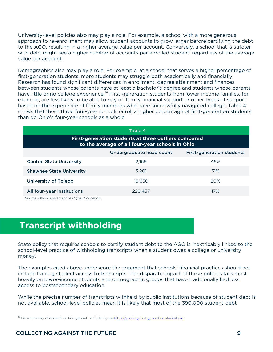University-level policies also may play a role. For example, a school with a more generous approach to re-enrollment may allow student accounts to grow larger before certifying the debt to the AGO, resulting in a higher average value per account. Conversely, a school that is stricter with debt might see a higher number of accounts per enrolled student, regardless of the average value per account.

Demographics also may play a role. For example, at a school that serves a higher percentage of first-generation students, more students may struggle both academically and financially. Research has found significant differences in enrollment, degree attainment and finances between students whose parents have at least a bachelor's degree and students whose parents have little or no college experience.<sup>14</sup> First-generation students from lower-income families, for example, are less likely to be able to rely on family financial support or other types of support based on the experience of family members who have successfully navigated college. Table 4 shows that these three four-year schools enroll a higher percentage of first-generation students than do Ohio's four-year schools as a whole.

| Table 4                                                                                                 |         |     |  |  |  |  |  |  |  |
|---------------------------------------------------------------------------------------------------------|---------|-----|--|--|--|--|--|--|--|
| First-generation students at three outliers compared<br>to the average of all four-year schools in Ohio |         |     |  |  |  |  |  |  |  |
| Undergraduate head count<br><b>First-generation students</b>                                            |         |     |  |  |  |  |  |  |  |
| <b>Central State University</b>                                                                         | 2.169   | 46% |  |  |  |  |  |  |  |
| <b>Shawnee State University</b>                                                                         | 3.201   | 31% |  |  |  |  |  |  |  |
| University of Toledo                                                                                    | 16.630  | 20% |  |  |  |  |  |  |  |
| All four-year institutions                                                                              | 228,437 | 17% |  |  |  |  |  |  |  |

*Source: Ohio Department of Higher Education.*

# **Transcript withholding**

State policy that requires schools to certify student debt to the AGO is inextricably linked to the school-level practice of withholding transcripts when a student owes a college or university money.

The examples cited above underscore the argument that schools' financial practices should not include barring student access to transcripts. The disparate impact of these policies falls most heavily on lower-income students and demographic groups that have traditionally had less access to postsecondary education.

While the precise number of transcripts withheld by public institutions because of student debt is not available, school-level policies mean it is likely that most of the 390,000 student-debt

<sup>&</sup>lt;sup>14</sup> For a summary of research on first-generation students, see https://pnpi.org/first-generation-students/#.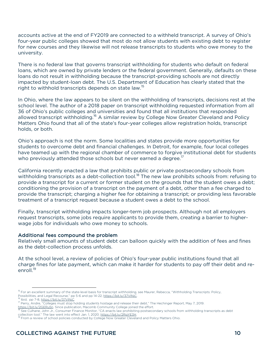accounts active at the end of FY2019 are connected to a withheld transcript. A survey of Ohio's four-year public colleges showed that most do not allow students with existing debt to register for new courses and they likewise will not release transcripts to students who owe money to the university.

There is no federal law that governs transcript withholding for students who default on federal loans, which are owned by private lenders or the federal government. Generally, defaults on these loans do not result in withholding because the transcript-providing schools are not directly impacted by student-loan debt. The U.S. Department of Education has clearly stated that the right to withhold transcripts depends on state law.<sup>15</sup>

In Ohio, where the law appears to be silent on the withholding of transcripts, decisions rest at the school level. The author of a 2018 paper on transcript withholding requested information from all 36 of Ohio's public colleges and universities and found that all institutions that responded allowed transcript withholding.<sup>16</sup> A similar review by College Now Greater Cleveland and Policy Matters Ohio found that all of the state's four-year colleges allow registration holds, transcript holds, or both.

Ohio's approach is not the norm. Some localities and states provide more opportunities for students to overcome debt and financial challenges. In Detroit, for example, four local colleges have teamed up with the regional chamber of commerce to forgive institutional debt for students who previously attended those schools but never earned a degree.<sup>17</sup>

California recently enacted a law that prohibits public or private postsecondary schools from withholding transcripts as a debt-collection tool.<sup>18</sup> The new law prohibits schools from: refusing to provide a transcript for a current or former student on the grounds that the student owes a debt; conditioning the provision of a transcript on the payment of a debt, other than a fee charged to provide the transcript; charging a higher fee for obtaining a transcript; or providing less favorable treatment of a transcript request because a student owes a debt to the school.

Finally, transcript withholding impacts longer-term job prospects. Although not all employers request transcripts, some jobs require applicants to provide them, creating a barrier to higherwage jobs for individuals who owe money to schools.

#### Additional fees compound the problem

Relatively small amounts of student debt can balloon quickly with the addition of fees and fines as the debt-collection process unfolds.

At the school level, a review of policies of Ohio's four-year public institutions found that all charge fines for late payment, which can make it harder for students to pay off their debt and reenroll.<sup>19</sup>

<sup>&</sup>lt;sup>15</sup> For an excellent summary of the state-level basis for transcript withholding, see Maurer, Rebecca, "Withholding Transcripts: Policy,<br>Possibilities, and Legal Recourse," pp 5-6 and pp 14-22, <u>https://bit.ly/37VINiC</u>. Possibilities, and Legal Recourse," pp 5-6 and pp 14-22, <u>https://bit.ly/37VINjC</u>.<br><sup>16</sup> Ibid, pp 7-8, <u>https://bit.ly/37VINjC</u>.<br><sup>17</sup> Perry, Andre, "Colleges must stop holding students hostage and release their debt," The

<sup>&</sup>lt;u>https://bit.ly/2GERu5n</u>. Since publication, Macomb Community College joined the effort.<br><sup>18</sup> See Culhane, John Jr., Consumer Finance Monitor, "CA enacts law prohibiting postsecondary schools from withholding transcripts a collection tool." The law went into effect Jan. 1, 2020. https://bit.ly/2RqYE3H. 19 From a review of school policies conducted by College Now Greater Cleveland and Policy Matters Ohio.<br><sup>19</sup> From a review of school policies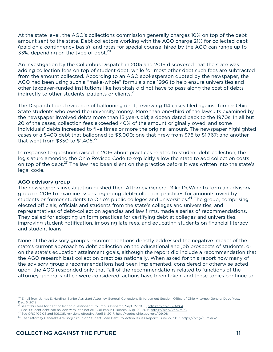At the state level, the AGO's collections commission generally charges 10% on top of the debt amount sent to the state. Debt collectors working with the AGO charge 21% for collected debt (paid on a contingency basis), and rates for special counsel hired by the AGO can range up to 33%, depending on the type of debt.<sup>20</sup>

An investigation by the Columbus Dispatch in 2015 and 2016 discovered that the state was adding collection fees on top of student debt, while for most other debt such fees are subtracted from the amount collected. According to an AGO spokesperson quoted by the newspaper, the AGO had been using such a "make-whole" formula since 1996 to help ensure universities and other taxpayer-funded institutions like hospitals did not have to pass along the cost of debts indirectly to other students, patients or clients.<sup>21</sup>

The Dispatch found evidence of ballooning debt, reviewing 114 cases filed against former Ohio State students who owed the university money. More than one-third of the lawsuits examined by the newspaper involved debts more than 15 years old; a dozen dated back to the 1970s. In all but 20 of the cases, collection fees exceeded 40% of the amount originally owed, and some individuals' debts increased to five times or more the original amount. The newspaper highlighted cases of a \$400 debt that ballooned to \$3,000; one that grew from \$76 to \$1,767; and another that went from  $$350$  to  $$1,405.<sup>22</sup>$ 

In response to questions raised in 2016 about practices related to student debt collection, the legislature amended the Ohio Revised Code to explicitly allow the state to add collection costs on top of the debt.<sup>23</sup> The law had been silent on the practice before it was written into the state's legal code.

#### AGO advisory group

The newspaper's investigation pushed then-Attorney General Mike DeWine to form an advisory group in 2016 to examine issues regarding debt-collection practices for amounts owed by students or former students to Ohio's public colleges and universities.<sup>24</sup> The group, comprising elected officials, officials and students from the state's colleges and universities, and representatives of debt-collection agencies and law firms, made a series of recommendations. They called for adopting uniform practices for certifying debt at colleges and universities, improving student notification, imposing late fees, and educating students on financial literacy and student loans.

None of the advisory group's recommendations directly addressed the negative impact of the state's current approach to debt collection on the educational and job prospects of students, or on the state's education attainment goals, although the report did include a recommendation that the AGO research best collection practices nationally. When asked for this report how many of the advisory group's recommendations had been implemented, considered or otherwise acted upon, the AGO responded only that "all of the recommendations related to functions of the attorney general's office were considered, actions have been taken, and these topics continue to

 $^{20}$  Email from James S. Harding, Senior Assistant Attorney General, Collections Enforcement Section, Office of Ohio Attorney General Dave Yost, Dec. 6, 2019.<br><sup>21</sup> See "Ohio fees for debt collection questioned," Columbus Dispatch, Sept. 27, 2015, <u>https://bit.ly/36yA064.</u>

<sup>23</sup> See "Student debt can balloon with little notice," Columbus Dispatch, Aug. 20, 2016, https://bit.ly/2qp2m2C<br><sup>23</sup> See ORC 109.08 and 109.081, revisions effective April 6, 2017. http://codes.ohio.gov/orc/109.08.

<sup>&</sup>lt;sup>24</sup> See "Attorney General's Advisory Group on Student Loan Debt Collection Issues Report," June 22, 2017. https://bit.ly/35hSarW.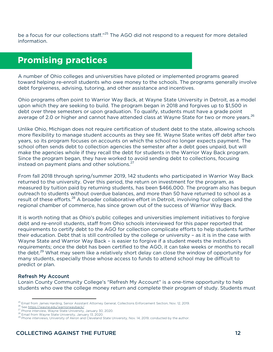be a focus for our collections staff."<sup>25</sup> The AGO did not respond to a request for more detailed information.

# **Promising practices**

ī

A number of Ohio colleges and universities have piloted or implemented programs geared toward helping re-enroll students who owe money to the schools. The programs generally involve debt forgiveness, advising, tutoring, and other assistance and incentives.

Ohio programs often point to Warrior Way Back, at Wayne State University in Detroit, as a model upon which they are seeking to build. The program began in 2018 and forgives up to \$1,500 in debt over three semesters or upon graduation. To qualify, students must have a grade point average of 2.0 or higher and cannot have attended class at Wayne State for two or more years. $^{26}$ 

Unlike Ohio, Michigan does not require certification of student debt to the state, allowing schools more flexibility to manage student accounts as they see fit. Wayne State writes off debt after two years, so its program focuses on accounts on which the school no longer expects payment. The school often sends debt to collection agencies the semester after a debt goes unpaid, but will make the agencies whole if they recall the debt for students in the Warrior Way Back program. Since the program began, they have worked to avoid sending debt to collections, focusing instead on payment plans and other solutions.<sup>27</sup>

From fall 2018 through spring/summer 2019, 142 students who participated in Warrior Way Back returned to the university. Over this period, the return on investment for the program, as measured by tuition paid by returning students, has been \$466,000. The program also has begun outreach to students without overdue balances, and more than 50 have returned to school as a result of these efforts.<sup>28</sup> A broader collaborative effort in Detroit, involving four colleges and the regional chamber of commerce, has since grown out of the success of Warrior Way Back.

It is worth noting that as Ohio's public colleges and universities implement initiatives to forgive debt and re-enroll students, staff from Ohio schools interviewed for this paper reported that requirements to certify debt to the AGO for collection complicate efforts to help students further their education. Debt that is still controlled by the college or university – as it is in the case with Wayne State and Warrior Way Back – is easier to forgive if a student meets the institution's requirements; once the debt has been certified to the AGO, it can take weeks or months to recall the debt.<sup>29</sup> What may seem like a relatively short delay can close the window of opportunity for many students, especially those whose access to funds to attend school may be difficult to predict or plan.

#### Refresh My Account

Lorain County Community College's "Refresh My Account" is a one-time opportunity to help students who owe the college money return and complete their program of study. Students must

<sup>&</sup>lt;sup>25</sup> Email from James Harding, Senior Assistant Attorney General, Collections Enforcement Section, Nov. 12, 2019.<br><sup>26</sup> See <u>https://wayne.edu/warriorwayback/</u><br><sup>27</sup> Phone interview, Wayne State University, January 30, 2020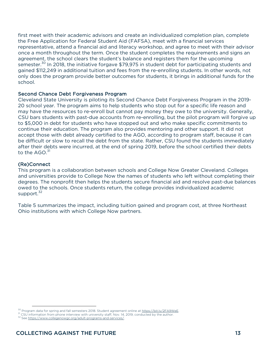first meet with their academic advisors and create an individualized completion plan, complete the Free Application for Federal Student Aid (FAFSA), meet with a financial services representative, attend a financial aid and literacy workshop, and agree to meet with their advisor once a month throughout the term. Once the student completes the requirements and signs an agreement, the school clears the student's balance and registers them for the upcoming semester.<sup>30</sup> In 2018, the initiative forgave \$79,975 in student debt for participating students and gained \$112,249 in additional tuition and fees from the re-enrolling students. In other words, not only does the program provide better outcomes for students, it brings in additional funds for the school.

#### Second Chance Debt Forgiveness Program

Cleveland State University is piloting its Second Chance Debt Forgiveness Program in the 2019- 20 school year. The program aims to help students who stop out for a specific life reason and may have the resources to re-enroll but cannot pay money they owe to the university. Generally, CSU bars students with past-due accounts from re-enrolling, but the pilot program will forgive up to \$5,000 in debt for students who have stopped out and who make specific commitments to continue their education. The program also provides mentoring and other support. It did not accept those with debt already certified to the AGO, according to program staff, because it can be difficult or slow to recall the debt from the state. Rather, CSU found the students immediately after their debts were incurred, at the end of spring 2019, before the school certified their debts to the AGO. $^{31}$ 

#### (Re)Connect

This program is a collaboration between schools and College Now Greater Cleveland. Colleges and universities provide to College Now the names of students who left without completing their degrees. The nonprofit then helps the students secure financial aid and resolve past-due balances owed to the schools. Once students return, the college provides individualized academic support.<sup>32</sup>

Table 5 summarizes the impact, including tuition gained and program cost, at three Northeast Ohio institutions with which College Now partners.

<sup>&</sup>lt;sup>30</sup> Program data for spring and fall semesters 2018. Student agreement online at https://bit.ly/2FA9WeE.<br><sup>31</sup> CSU information from phone interview with university staff, Nov. 14, 2019, conducted by the author.<br><sup>32</sup> See <u></u>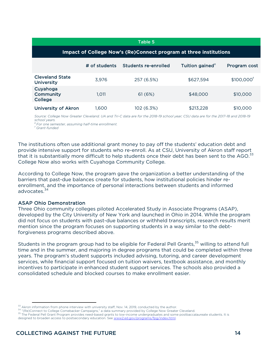| Table 5                                                           |               |                      |                             |                        |  |  |  |  |  |
|-------------------------------------------------------------------|---------------|----------------------|-----------------------------|------------------------|--|--|--|--|--|
| Impact of College Now's (Re)Connect program at three institutions |               |                      |                             |                        |  |  |  |  |  |
|                                                                   | # of students | Students re-enrolled | Tuition gained <sup>e</sup> | Program cost           |  |  |  |  |  |
| <b>Cleveland State</b><br>University                              | 3,976         | 257 (6.5%)           | \$627,594                   | \$100,000 <sup>f</sup> |  |  |  |  |  |
| Cuyahoga<br>Community<br>College                                  | 1.011         | 61(6%)               | \$48,000                    | \$10,000               |  |  |  |  |  |
| University of Akron                                               | 1.600         | 102 (6.3%)           | \$213,228                   | \$10.000               |  |  |  |  |  |

*Source: College Now Greater Cleveland. UA and Tri-C data are for the 2018-19 school year; CSU data are for the 2017-18 and 2018-19 school years.* 

*e For one semester, assuming half-time enrollment. f Grant-funded*

The institutions often use additional grant money to pay off the students' education debt and provide intensive support for students who re-enroll. As at CSU, University of Akron staff report that it is substantially more difficult to help students once their debt has been sent to the AGO.<sup>33</sup> College Now also works with Cuyahoga Community College.

According to College Now, the program gave the organization a better understanding of the barriers that past-due balances create for students, how institutional policies hinder reenrollment, and the importance of personal interactions between students and informed advocates. 34

#### ASAP Ohio Demonstration

Three Ohio community colleges piloted Accelerated Study in Associate Programs (ASAP), developed by the City University of New York and launched in Ohio in 2014. While the program did not focus on students with past-due balances or withheld transcripts, research results merit mention since the program focuses on supporting students in a way similar to the debtforgiveness programs described above.

Students in the program group had to be eligible for Federal Pell Grants,<sup>35</sup> willing to attend full time and in the summer, and majoring in degree programs that could be completed within three years. The program's student supports included advising, tutoring, and career development services, while financial support focused on tuition waivers, textbook assistance, and monthly incentives to participate in enhanced student support services. The schools also provided a consolidated schedule and blocked courses to make enrollment easier.

 $^{33}$  Akron information from phone interview with university staff, Nov. 14, 2019, conducted by the author.<br><sup>34</sup> "(Re)Connect to College Comebacker Campaigns," a data summary provided by College Now Greater Cleveland.<br><sup>3</sup> designed to broaden access to postsecondary education. See www2.ed.gov/programs/fpg/index.html.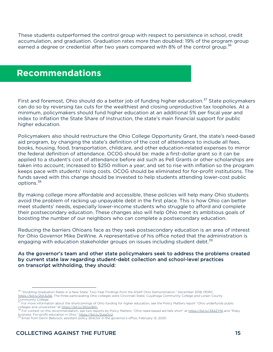These students outperformed the control group with respect to persistence in school, credit accumulation, and graduation. Graduation rates more than doubled: 19% of the program group earned a degree or credential after two years compared with 8% of the control group.<sup>36</sup>

# **Recommendations**

First and foremost, Ohio should do a better job of funding higher education.<sup>37</sup> State policymakers can do so by reversing tax cuts for the wealthiest and closing unproductive tax loopholes. At a minimum, policymakers should fund higher education at an additional 5% per fiscal year and index to inflation the State Share of Instruction, the state's main financial support for public higher education.

Policymakers also should restructure the Ohio College Opportunity Grant, the state's need-based aid program, by changing the state's definition of the cost of attendance to include all fees, books, housing, food, transportation, childcare, and other education-related expenses to mirror the federal definition of attendance. OCOG should be: made a first-dollar grant so it can be applied to a student's cost of attendance before aid such as Pell Grants or other scholarships are taken into account; increased to \$250 million a year; and set to rise with inflation so the program keeps pace with students' rising costs. OCOG should be eliminated for for-profit institutions. The funds saved with this change should be invested to help students attending lower-cost public options.<sup>38</sup>

By making college more affordable and accessible, these policies will help many Ohio students avoid the problem of racking up unpayable debt in the first place. This is how Ohio can better meet students' needs, especially lower-income students who struggle to afford and complete their postsecondary education. These changes also will help Ohio meet its ambitious goals of boosting the number of our neighbors who can complete a postsecondary education.

Reducing the barriers Ohioans face as they seek postsecondary education is an area of interest for Ohio Governor Mike DeWine. A representative of his office noted that the administration is engaging with education stakeholder groups on issues including student debt.<sup>39</sup>

As the governor's team and other state policymakers seek to address the problems created by current state law regarding student-debt collection and school-level practices on transcript withholding, they should:

<sup>&</sup>lt;sup>36</sup> "Doubling Graduation Rates in a New State: Two-Year Findings from the ASAP Ohio Demonstration," December 2018, MDRC. https://bit.ly/2tA3u5b. The three participating Ohio colleges were Cincinnati State, Cuyahoga Community College and Lorain County Community College.

<sup>&</sup>lt;sup>37</sup> For more information about the shortcomings of Ohio funding for higher education, see the Policy Matters report "Ohio underfunds public colleges and universities" at https://bit.ly/2KGo9Kh.

colleges and universities" at <u>https://bit.ly/2Com. 38</u> For context on this recommendation, see two reports by Policy Matters: "Ohio need-based aid falls short" at <u>https://bit.ly/344ZYNl</u> and "Risky<br>Business: For-profit e

Email from Devin Babcock, assistant policy director in the governor's office, February 12, 2020.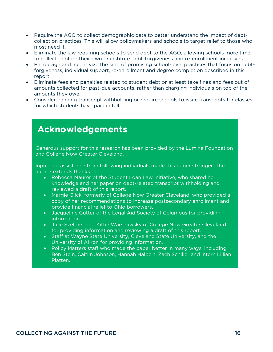- Require the AGO to collect demographic data to better understand the impact of debtcollection practices. This will allow policymakers and schools to target relief to those who most need it.
- Eliminate the law requiring schools to send debt to the AGO, allowing schools more time to collect debt on their own or institute debt-forgiveness and re-enrollment initiatives.
- Encourage and incentivize the kind of promising school-level practices that focus on debtforgiveness, individual support, re-enrollment and degree completion described in this report.
- Eliminate fees and penalties related to student debt or at least take fines and fees out of amounts collected for past-due accounts, rather than charging individuals on top of the amounts they owe.
- Consider banning transcript withholding or require schools to issue transcripts for classes for which students have paid in full.

# **Acknowledgements**

Generous support for this research has been provided by the Lumina Foundation and College Now Greater Cleveland.

Input and assistance from following individuals made this paper stronger. The author extends thanks to:

- Rebecca Maurer of the Student Loan Law Initiative, who shared her knowledge and her paper on debt-related transcript withholding and reviewed a draft of this report.
- Margie Glick, formerly of College Now Greater Cleveland, who provided a copy of her recommendations to increase postsecondary enrollment and provide financial relief to Ohio borrowers.
- Jacqueline Gutter of the Legal Aid Society of Columbus for providing information.
- Julie Szeltner and Kittie Warshawsky of College Now Greater Cleveland for providing information and reviewing a draft of this report.
- Staff at Wayne State University, Cleveland State University, and the University of Akron for providing information.
- Policy Matters staff who made the paper better in many ways, including Ben Stein, Caitlin Johnson, Hannah Halbert, Zach Schiller and intern Lillian Platten.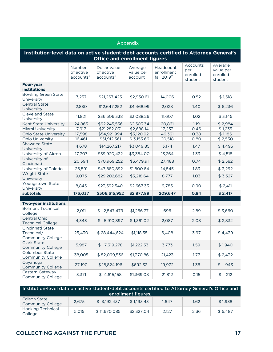| <b>Appendix</b>                                                                                                                |                                              |                                                    |                                        |                                         |                                        |                                             |  |  |
|--------------------------------------------------------------------------------------------------------------------------------|----------------------------------------------|----------------------------------------------------|----------------------------------------|-----------------------------------------|----------------------------------------|---------------------------------------------|--|--|
| Institution-level data on active student-debt accounts certified to Attorney General's<br><b>Office and enrollment figures</b> |                                              |                                                    |                                        |                                         |                                        |                                             |  |  |
|                                                                                                                                | Number<br>of active<br>accounts <sup>x</sup> | Dollar value<br>of active<br>accounts <sup>x</sup> | Average<br>value per<br>account        | Headcount<br>enrollment<br>fall $2019y$ | Accounts<br>per<br>enrolled<br>student | Average<br>value per<br>enrolled<br>student |  |  |
| <b>Four-year</b><br><b>institutions</b>                                                                                        |                                              |                                                    |                                        |                                         |                                        |                                             |  |  |
| <b>Bowling Green State</b><br>University                                                                                       | 7,257                                        | \$21,267,425                                       | \$2,930.61                             | 14,006                                  | 0.52                                   | \$1,518                                     |  |  |
| <b>Central State</b><br>University                                                                                             | 2,830                                        | \$12,647,252                                       | \$4,468.99                             | 2,028                                   | 1.40                                   | \$6,236                                     |  |  |
| <b>Cleveland State</b><br>University                                                                                           | 11,821                                       | \$36,506,338                                       | \$3,088.26                             | 11,607                                  | 1.02                                   | \$3,145                                     |  |  |
| Kent State University<br>Miami University<br><b>Ohio State University</b>                                                      | 24,865<br>7,917<br>17,598                    | \$62,245,536<br>\$21,282,031<br>\$54,921,994       | \$2,503.34<br>\$2,688.14<br>\$3,120.92 | 20,861<br>17,233<br>46,361              | 1.19<br>0.46<br>0.38                   | \$2,984<br>\$1,235<br>\$1,185               |  |  |
| Ohio University<br>Shawnee State                                                                                               | 16,461                                       | \$51,912,361                                       | \$3,153.66                             | 20,518                                  | 0.80                                   | \$2,530                                     |  |  |
| University                                                                                                                     | 4,678                                        | \$14,267,217                                       | \$3,049.85                             | 3,174                                   | 1.47                                   | \$4,495                                     |  |  |
| University of Akron<br>University of<br>Cincinnati                                                                             | 17,707<br>20,394                             | \$59,920,432<br>\$70,969,252                       | \$3,384.00<br>\$3,479.91               | 13,264<br>27,488                        | 1.33<br>0.74                           | \$4,518<br>\$2,582                          |  |  |
| University of Toledo                                                                                                           | 26,591                                       | \$47,880,892                                       | \$1,800.64                             | 14,545                                  | 1.83                                   | \$3,292                                     |  |  |
| <b>Wright State</b><br>University                                                                                              | 9,073                                        | \$29,202,682                                       | \$3,218.64                             | 8,777                                   | 1.03                                   | \$3,327                                     |  |  |
| Youngstown State<br>University                                                                                                 | 8,845                                        | \$23,592,540                                       | \$2,667.33                             | 9,785                                   | 0.90                                   | \$2,411                                     |  |  |
| subtotals                                                                                                                      | 176,037                                      | \$506,615,952                                      | \$2,877.89                             | 209,647                                 | 0.84                                   | \$2,417                                     |  |  |
| <b>Two-year institutions</b>                                                                                                   |                                              |                                                    |                                        |                                         |                                        |                                             |  |  |
| <b>Belmont Technical</b><br>College                                                                                            | 2,011                                        | 2,547,479<br>\$                                    | \$1,266.77                             | 696                                     | 2.89                                   | \$3,660                                     |  |  |
| Central Ohio<br><b>Technical College</b>                                                                                       | 4,343                                        | 5,910,897<br>\$                                    | \$1,361.02                             | 2,087                                   | 2.08                                   | \$2,832                                     |  |  |
| Cincinnati State<br>Technical/<br><b>Community College</b>                                                                     | 25,430                                       | \$28,444,624                                       | \$1,118.55                             | 6,408                                   | 3.97                                   | \$4,439                                     |  |  |
| <b>Clark State</b><br><b>Community College</b>                                                                                 | 5,987                                        | $\frac{1}{2}$<br>7,319,278                         | \$1,222.53                             | 3,773                                   | 1.59                                   | \$1,940                                     |  |  |
| Columbus State<br><b>Community College</b>                                                                                     | 38,005                                       | \$52,099,536                                       | \$1,370.86                             | 21,423                                  | 1.77                                   | \$2,432                                     |  |  |
| Cuyahoga<br><b>Community College</b>                                                                                           | 27,190                                       | \$18,824,196                                       | \$692.32                               | 19,972                                  | 1.36                                   | 943<br>\$                                   |  |  |
| Eastern Gateway<br><b>Community College</b>                                                                                    | 3,371                                        | \$4,615,158                                        | \$1,369.08                             | 21,812                                  | 0.15                                   | \$<br>212                                   |  |  |

| Institution-level data on active student-debt accounts certified to Attorney General's Office and<br>enrollment figures. |       |              |            |       |      |         |  |  |
|--------------------------------------------------------------------------------------------------------------------------|-------|--------------|------------|-------|------|---------|--|--|
| Edison State<br><b>Community College</b>                                                                                 | 2.675 | \$3.192.437  | \$1.193.43 | 1.647 | 1.62 | \$1.938 |  |  |
| <b>Hocking Technical</b><br>College                                                                                      | 5.015 | \$11,670,085 | \$2,327.04 | 2.127 | 2.36 | \$5.487 |  |  |